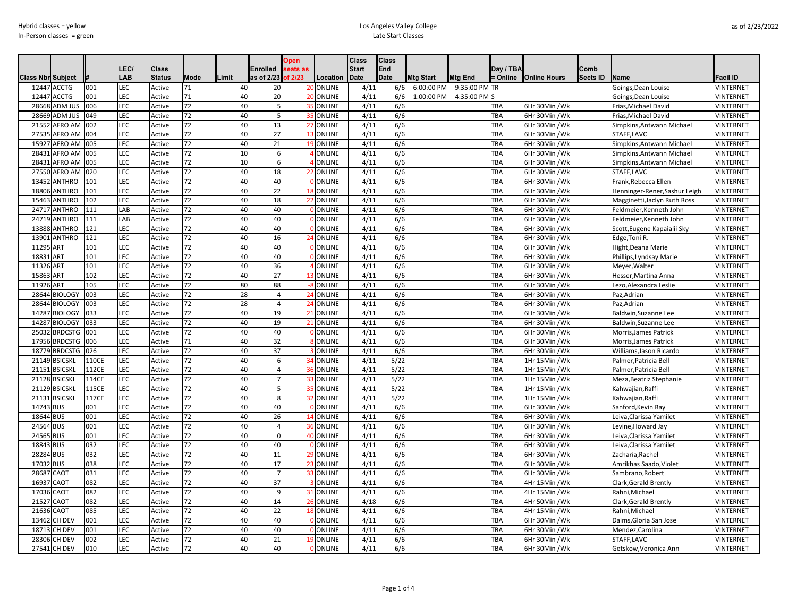|                          |                |       |            |               |      |       |                    | <b>Open</b>     |                 | <b>Class</b> | <b>Class</b> |                  |               |           |                     |          |                              |                  |
|--------------------------|----------------|-------|------------|---------------|------|-------|--------------------|-----------------|-----------------|--------------|--------------|------------------|---------------|-----------|---------------------|----------|------------------------------|------------------|
|                          |                |       | LEC/       | Class         |      |       | Enrolled           | eats as         |                 | <b>Start</b> | <b>End</b>   |                  |               | Dav / TBA |                     | Comb     |                              |                  |
| <b>Class Nbr Subject</b> |                |       | <b>LAB</b> | <b>Status</b> | Mode | Limit | as of 2/23 of 2/23 |                 | Location        | <b>Date</b>  | <b>Date</b>  | <b>Mtg Start</b> | Mtg End       | = Online  | <b>Online Hours</b> | Sects ID | Name                         | <b>Facil ID</b>  |
| 12447                    | <b>ACCTG</b>   | 001   | LEC        | Active        | 71   | 40    | 20                 | 20              | <b>ONLINE</b>   | 4/11         | 6/6          | 6:00:00 PM       | 9:35:00 PM TR |           |                     |          | Goings, Dean Louise          | VINTERNET        |
| 12447                    | <b>ACCTG</b>   | 001   | <b>LEC</b> | Active        | 71   | 40    | 20                 |                 | 20 ONLINE       | 4/11         | 6/6          | 1:00:00 PM       | 4:35:00 PM S  |           |                     |          | Goings, Dean Louise          | VINTERNET        |
| 28668                    | ADM JUS        | 006   | <b>LEC</b> | Active        | 72   | 40    | 5                  | 35 <sub>1</sub> | <b>ONLINE</b>   | 4/11         | 6/6          |                  |               | TBA       | 6Hr 30Min /Wk       |          | Frias, Michael David         | VINTERNET        |
| 28669                    | ADM JUS        | 049   | <b>LEC</b> | Active        | 72   | 40    | 5                  |                 | 35 ONLINE       | 4/11         | 6/6          |                  |               | TBA       | 6Hr 30Min /Wk       |          | Frias, Michael David         | VINTERNET        |
| 2155                     | AFRO AM        | 002   | <b>LEC</b> | Active        | 72   | 40    | 13                 |                 | 27 ONLINE       | 4/11         | 6/6          |                  |               | TBA       | 6Hr 30Min /Wk       |          | Simpkins, Antwann Michael    | VINTERNET        |
| 27535                    | AFRO AM        | 004   | <b>LEC</b> | Active        | 72   | 40    | 27                 |                 | 13 ONLINE       | 4/11         | 6/6          |                  |               | TBA       | 6Hr 30Min /Wk       |          | STAFF, LAVC                  | VINTERNET        |
| 1592                     | AFRO AM        | 005   | <b>LEC</b> | Active        | 72   | 40    | 21                 |                 | 19 ONLINE       | 4/11         | 6/6          |                  |               | TBA       | 6Hr 30Min /Wk       |          | Simpkins, Antwann Michael    | VINTERNET        |
| 28431                    | AFRO AM        | 005   | LEC        | Active        | 72   | 10    | 6                  |                 | ONLINE          | 4/11         | 6/6          |                  |               | TBA       | 6Hr 30Min /Wk       |          | Simpkins, Antwann Michael    | VINTERNET        |
| 28431                    | AFRO AM        | 005   | LEC        | Active        | 72   | 10    | 6                  |                 | ONLINE          | 4/11         | 6/6          |                  |               | TBA       | 6Hr 30Min /Wk       |          | Simpkins, Antwann Michael    | VINTERNET        |
| 27550                    | AFRO AM        | 020   | <b>LEC</b> | Active        | 72   | 40    | 18                 | $\overline{2}$  | <b>ONLINE</b>   | 4/11         | 6/6          |                  |               | TBA       | 6Hr 30Min /Wk       |          | STAFF, LAVC                  | VINTERNET        |
| 1345                     | <b>ANTHRO</b>  | 101   | <b>LEC</b> | Active        | 72   | 40    | 40                 |                 | ONLINE          | 4/11         | 6/6          |                  |               | TBA       | 6Hr 30Min /Wk       |          | Frank, Rebecca Ellen         | VINTERNET        |
| 18806                    | ANTHRO         | 101   | <b>LEC</b> | Active        | 72   | 40    | 22                 |                 | 18 ONLINE       | 4/11         | 6/6          |                  |               | TBA       | 6Hr 30Min /Wk       |          | Henninger-Rener,Sashur Leigh | VINTERNET        |
| 15463                    | ANTHRO         | 102   | <b>LEC</b> | Active        | 72   | 40    | 18                 |                 | 22 ONLINE       | 4/11         | 6/6          |                  |               | TBA       | 6Hr 30Min /Wk       |          | Magginetti, Jaclyn Ruth Ross | VINTERNET        |
| 24717                    | <b>ANTHRO</b>  | 111   | LAB        | Active        | 72   | 40    | 40                 |                 | ONLINE          | 4/11         | 6/6          |                  |               | TBA       | 6Hr 30Min /Wk       |          | Feldmeier,Kenneth John       | VINTERNET        |
| 24719                    | ANTHRO         | 111   | LAB        | Active        | 72   | 40    | 40                 |                 | ONLINE          | 4/11         | 6/6          |                  |               | TBA       | 6Hr 30Min /Wk       |          | Feldmeier, Kenneth John      | VINTERNET        |
| 13888                    | <b>ANTHRO</b>  | 121   | <b>LEC</b> | Active        | 72   | 40    | 40                 |                 | ONLINE          | 4/11         | 6/6          |                  |               | TBA       | 6Hr 30Min /Wk       |          | Scott, Eugene Kapaialii Sky  | VINTERNET        |
| 1390                     | ANTHRO         | 121   | LEC        | Active        | 72   | 40    | 16                 |                 | <b>ONLINE</b>   | 4/11         | 6/6          |                  |               | TBA       | 6Hr 30Min /Wk       |          | Edge, Toni R                 | VINTERNET        |
| 1129                     | ART            | 101   | <b>LEC</b> | Active        | 72   | 40    | 40                 |                 | ONLINE          | 4/11         | 6/6          |                  |               | TBA       | 6Hr 30Min /Wk       |          | Hight, Deana Marie           | <b>VINTERNET</b> |
| 18831                    | ART            | 101   | <b>LEC</b> | Active        | 72   | 40    | 40                 |                 | ONLINE          | 4/11         | 6/6          |                  |               | TBA       | 6Hr 30Min /Wk       |          | Phillips, Lyndsay Marie      | VINTERNET        |
| 11326                    | <b>ART</b>     | 101   | <b>LEC</b> | Active        | 72   | 40    | 36                 |                 | <b>ONLINE</b>   | 4/11         | 6/6          |                  |               | TBA       | 6Hr 30Min /Wk       |          | Meyer, Walter                | VINTERNET        |
| 15863                    | ART            | 102   | <b>LEC</b> | Active        | 72   | 40    | 27                 |                 | 13 ONLINE       | 4/11         | 6/6          |                  |               | TBA       | 6Hr 30Min /Wk       |          | Hesser, Martina Anna         | VINTERNET        |
| 11926                    | ART            | 105   | <b>LEC</b> | Active        | 72   | 80    | 88                 |                 | ONLINE          | 4/11         | 6/6          |                  |               | TBA       | 6Hr 30Min /Wk       |          | Lezo, Alexandra Leslie       | <b>VINTERNET</b> |
| 28644                    | <b>BIOLOGY</b> | 003   | LEC        | Active        | 72   | 28    | 4                  | 24              | <b>ONLINE</b>   | 4/11         | 6/6          |                  |               | TBA       | 6Hr 30Min /Wk       |          | Paz,Adrian                   | VINTERNET        |
| 28644                    | <b>BIOLOGY</b> | 003   | <b>LEC</b> | Active        | 72   | 28    | $\overline{4}$     | 24              | <b>ONLINE</b>   | 4/11         | 6/6          |                  |               | TBA       | 6Hr 30Min /Wk       |          | Paz,Adrian                   | VINTERNET        |
| 14287                    | <b>BIOLOGY</b> | 033   | <b>LEC</b> | Active        | 72   | 40    | 19                 | $\mathcal{P}$   | ONLINE          | 4/11         | 6/6          |                  |               | TBA       | 6Hr 30Min /Wk       |          | Baldwin, Suzanne Lee         | VINTERNET        |
| 14287                    | <b>BIOLOGY</b> | 033   | <b>LEC</b> | Active        | 72   | 40    | 19                 | 21              | ONLINE          | 4/11         | 6/6          |                  |               | TBA       | 6Hr 30Min /Wk       |          | <b>Baldwin, Suzanne Lee</b>  | VINTERNET        |
| 2503                     | <b>BRDCSTG</b> | 001   | <b>LEC</b> | Active        | 72   | 40    | 40                 |                 | ONLINE          | 4/11         | 6/6          |                  |               | TBA       | 6Hr 30Min /Wk       |          | Morris, James Patrick        | VINTERNET        |
| 17956                    | <b>BRDCSTG</b> | 006   | <b>LEC</b> | Active        | 71   | 40    | 32                 |                 | ONLINE          | 4/11         | 6/6          |                  |               | TBA       | 6Hr 30Min /Wk       |          | Morris, James Patrick        | <b>VINTERNET</b> |
| 18779                    | <b>BRDCSTG</b> | 026   | <b>LEC</b> | Active        | 72   | 40    | 37                 |                 | ONLINE          | 4/11         | 6/6          |                  |               | TBA       | 6Hr 30Min /Wk       |          | Williams, Jason Ricardo      | VINTERNET        |
| 21149                    | <b>BSICSKL</b> | 110CE | <b>LEC</b> | Active        | 72   | 40    | 6                  | 34              | <b>ONLINE</b>   | 4/11         | 5/22         |                  |               | TBA       | 1Hr 15Min /Wk       |          | Palmer, Patricia Bell        | VINTERNET        |
| 21151                    | <b>BSICSKL</b> | 112CE | LEC        | Active        | 72   | 40    | 4                  | 36 <sup>l</sup> | <b>ONLINE</b>   | 4/11         | 5/22         |                  |               | TBA       | 1Hr 15Min /Wk       |          | Palmer, Patricia Bell        | VINTERNET        |
| 21128                    | <b>BSICSKL</b> | 114CE | <b>LEC</b> | Active        | 72   | 40    |                    |                 | 33 ONLINE       | 4/11         | 5/22         |                  |               | TBA       | 1Hr 15Min /Wk       |          | Meza, Beatriz Stephanie      | VINTERNET        |
| 21129                    | <b>BSICSKL</b> | 115CE | <b>LEC</b> | Active        | 72   | 40    | 5                  |                 | 35 ONLINE       | 4/11         | 5/22         |                  |               | TBA       | 1Hr 15Min /Wk       |          | Kahwajian,Raffi              | VINTERNET        |
| 2113                     | <b>BSICSKL</b> | 117CE | <b>LEC</b> | Active        | 72   | 40    | 8                  |                 | 32 ONLINE       | 4/11         | 5/22         |                  |               | TBA       | 1Hr 15Min /Wk       |          | Kahwajian,Raffi              | VINTERNET        |
| 14743                    | <b>BUS</b>     | 001   | <b>LEC</b> | Active        | 72   | 40    | 40                 |                 | ONLINE          | 4/11         | 6/6          |                  |               | TBA       | 6Hr 30Min /Wk       |          | Sanford,Kevin Ray            | VINTERNET        |
| 18644                    | <b>BUS</b>     | 001   | <b>LEC</b> | Active        | 72   | 40    | 26                 |                 | 14 ONLINE       | 4/11         | 6/6          |                  |               | TBA       | 6Hr 30Min /Wk       |          | Leiva, Clarissa Yamilet      | VINTERNET        |
| 24564                    | <b>BUS</b>     | 001   | LEC        | Active        | 72   | 40    | 4                  | 36              | <b>ONLINE</b>   | 4/11         | 6/6          |                  |               | TBA       | 6Hr 30Min /Wk       |          | Levine,Howard Jay            | VINTERNET        |
| 24565                    | <b>BUS</b>     | 001   | <b>LEC</b> | Active        | 72   | 40    | $\Omega$           |                 | 40 ONLINE       | 4/11         | 6/6          |                  |               | TBA       | 6Hr 30Min /Wk       |          | Leiva, Clarissa Yamilet      | VINTERNET        |
| 18843                    | <b>BUS</b>     | 032   | <b>LEC</b> | Active        | 72   | 40    | 40                 |                 | ONLINE          | 4/11         | 6/6          |                  |               | TBA       | 6Hr 30Min /Wk       |          | Leiva, Clarissa Yamilet      | VINTERNET        |
| 28284                    | <b>BUS</b>     | 032   | <b>LEC</b> | Active        | 72   | 40    | 11                 | 29              | ONLINE          | 4/11         | 6/6          |                  |               | TBA       | 6Hr 30Min /Wk       |          | Zacharia, Rachel             | VINTERNET        |
| 17032                    | <b>BUS</b>     | 038   | <b>LEC</b> | Active        | 72   | 40    | 17                 |                 | 23 ONLINE       | 4/11         | 6/6          |                  |               | TBA       | 6Hr 30Min /Wk       |          | Amrikhas Saado, Violet       | VINTERNET        |
| 28687                    | <b>CAOT</b>    | 031   | <b>LEC</b> | Active        | 72   | 40    |                    |                 | 33 ONLINE       | 4/11         | 6/6          |                  |               | TBA       | 6Hr 30Min /Wk       |          | Sambrano, Robert             | VINTERNET        |
| 1693                     | CAOT           | 082   | <b>LEC</b> | Active        | 72   | 40    | 37                 |                 | <b>ONLINE</b>   | 4/11         | 6/6          |                  |               | TBA       | 4Hr 15Min /Wk       |          | Clark, Gerald Brently        | VINTERNET        |
| 1703                     | CAOT           | 082   | <b>LEC</b> | Active        | 72   | 40    | C                  |                 | 31 ONLINE       | 4/11         | 6/6          |                  |               | TBA       | 4Hr 15Min /Wk       |          | Rahni, Michael               | VINTERNET        |
| 21527                    | CAOT           | 082   | <b>LEC</b> | Active        | 72   | 40    | 14                 |                 | 26 ONLINE       | 4/18         | 6/6          |                  |               | TBA       | 4Hr 50Min /Wk       |          | Clark, Gerald Brently        | VINTERNET        |
| 21636                    | CAOT           | 085   | LEC        | Active        | 72   | 40    | 22                 |                 | 18 ONLINE       | 4/11         | 6/6          |                  |               | TBA       | 4Hr 15Min /Wk       |          | Rahni, Michael               | VINTERNET        |
| 13462                    | CH DEV         | 001   | LEC        | Active        | 72   | 40    | 40                 |                 | ONLINE          | 4/11         | 6/6          |                  |               | TBA       | 6Hr 30Min /Wk       |          | Daims, Gloria San Jose       | VINTERNET        |
| 18713                    | CH DEV         | 001   | <b>LEC</b> | Active        | 72   | 40    | 40                 |                 | ONLINE          | 4/11         | 6/6          |                  |               | TBA       | 6Hr 30Min /Wk       |          | Mendez, Carolina             | <b>VINTERNET</b> |
| 28306                    | CH DEV         | 002   | <b>LEC</b> | Active        | 72   | 40    | 21                 | 19              | <b>ONLINE</b>   | 4/11         | 6/6          |                  |               | TBA       | 6Hr 30Min /Wk       |          | STAFF,LAVC                   | VINTERNET        |
|                          | 27541 CH DEV   | 010   | <b>LEC</b> | Active        | 72   | 40    | 40                 |                 | <b>O</b> ONLINE | 4/11         | 6/6          |                  |               | TBA       | 6Hr 30Min /Wk       |          | Getskow, Veronica Ann        | VINTERNET        |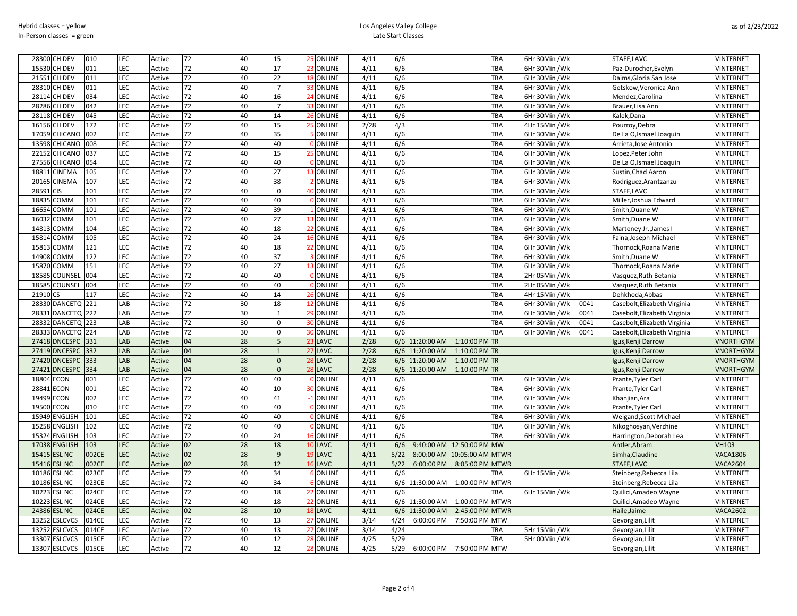## Los Angeles Valley College Late Start Classes

| 28300 | CH DEV         | 010   | LEC        | Active | 72 | 40 | 15             | 25 ONLINE       | 4/11 | 6/6  |                 |                  | TBA        | 6Hr 30Min /Wk |      | STAFF, LAVC                  | VINTERNET        |
|-------|----------------|-------|------------|--------|----|----|----------------|-----------------|------|------|-----------------|------------------|------------|---------------|------|------------------------------|------------------|
| 15530 | CH DEV         | 011   | <b>LEC</b> | Active | 72 | 40 | 17             | 23 ONLINE       | 4/11 | 6/6  |                 |                  | TBA        | 6Hr 30Min /Wk |      | Paz-Durocher, Evelyn         | <b>VINTERNET</b> |
| 2155  | CH DEV         | 011   | <b>LEC</b> | Active | 72 | 40 | 22             | 18 ONLINE       | 4/11 | 6/6  |                 |                  | TBA        | 6Hr 30Min /Wk |      | Daims, Gloria San Jose       | <b>VINTERNET</b> |
| 2831  | CH DEV         | 011   | <b>LEC</b> | Active | 72 | 40 |                | 33 ONLINE       | 4/11 | 6/6  |                 |                  | TBA        | 6Hr 30Min /Wk |      | Getskow, Veronica Ann        | VINTERNET        |
| 2811  | CH DEV         | 034   | LEC        | Active | 72 | 40 | 16             | 24 ONLINE       | 4/11 | 6/6  |                 |                  | TBA        | 6Hr 30Min /Wk |      | Mendez, Carolina             | VINTERNET        |
| 2828  | CH DEV         | 042   | <b>LEC</b> | Active | 72 | 40 |                | 33 ONLINE       | 4/11 | 6/6  |                 |                  | TBA        | 6Hr 30Min /Wk |      | Brauer, Lisa Ann             | <b>VINTERNET</b> |
| 2811  | CH DEV         | 045   | <b>LEC</b> | Active | 72 | 40 | 14             | 26 ONLINE       | 4/11 | 6/6  |                 |                  | TBA        | 6Hr 30Min /Wk |      | Kalek, Dana                  | VINTERNET        |
| 1615  | CH DEV         | 172   | <b>LEC</b> | Active | 72 | 40 | 15             | 25 ONLINE       | 2/28 | 4/3  |                 |                  | TBA        | 4Hr 15Min /Wk |      | Pourroy, Debra               | <b>VINTERNET</b> |
| 17059 | CHICANO        | 002   | LEC        | Active | 72 | 40 | 35             | <b>ONLINE</b>   | 4/11 | 6/6  |                 |                  | TBA        | 6Hr 30Min /Wk |      | De La O, Ismael Joaquin      | <b>VINTERNET</b> |
| 1359  | CHICANO        | 008   | LEC        | Active | 72 | 40 | 40             | <b>ONLINE</b>   | 4/11 | 6/6  |                 |                  | TBA        | 6Hr 30Min /Wk |      | Arrieta, Jose Antonio        | VINTERNET        |
| 2215  | CHICANO        | 037   | LEC        | Active | 72 | 40 | 15             | 25 ONLINE       | 4/11 | 6/6  |                 |                  | TBA        | 6Hr 30Min /Wk |      | Lopez, Peter John            | VINTERNET        |
| 27556 | CHICANO        | 054   | LEC        | Active | 72 | 40 | 40             | <b>ONLINE</b>   | 4/11 | 6/6  |                 |                  | TBA        | 6Hr 30Min /Wk |      | De La O, Ismael Joaquin      | <b>VINTERNET</b> |
| 1881  | CINEMA         | 105   | <b>LEC</b> | Active | 72 | 40 | 27             | 13 ONLINE       | 4/11 | 6/6  |                 |                  | TBA        | 6Hr 30Min /Wk |      | Sustin, Chad Aaron           | VINTERNET        |
| 2016  | CINEMA         | 107   | LEC        | Active | 72 | 40 | 38             | 2 ONLINE        | 4/11 | 6/6  |                 |                  | TBA        | 6Hr 30Min /Wk |      | Rodriguez, Arantzanzu        | <b>VINTERNET</b> |
| 2859  | CIS            | 101   | LEC        | Active | 72 | 40 | $\mathbf 0$    | 40 ONLINE       | 4/11 | 6/6  |                 |                  | TBA        | 6Hr 30Min /Wk |      | STAFF, LAVC                  | <b>VINTERNET</b> |
| 1883  | <b>COMM</b>    | 101   | LEC        | Active | 72 | 40 | 40             | <b>ONLINE</b>   | 4/11 | 6/6  |                 |                  | TBA        | 6Hr 30Min /Wk |      | Miller, Joshua Edward        | VINTERNET        |
| 1665  | <b>COMM</b>    | 101   | LEC        | Active | 72 | 40 | 39             | <b>ONLINE</b>   | 4/11 | 6/6  |                 |                  | TBA        | 6Hr 30Min /Wk |      | Smith, Duane W               | <b>VINTERNET</b> |
| 1603  | <b>COMM</b>    | 101   | LEC        | Active | 72 | 40 | 27             | 13 ONLINE       | 4/11 | 6/6  |                 |                  | TBA        | 6Hr 30Min /Wk |      | Smith, Duane W               | <b>VINTERNET</b> |
| 1481  | <b>COMM</b>    | 104   | <b>LEC</b> | Active | 72 | 40 | 18             | 22 ONLINE       | 4/11 | 6/6  |                 |                  | TBA        | 6Hr 30Min /Wk |      | Marteney Jr., James I        | VINTERNET        |
| 1581  | <b>MMC</b>     | 105   | <b>LEC</b> | Active | 72 | 40 | 24             | 16 ONLINE       | 4/11 | 6/6  |                 |                  | TBA        | 6Hr 30Min /Wk |      | Faina, Joseph Michael        | <b>VINTERNET</b> |
| 1581  | <b>COMM</b>    | 121   | LEC        | Active | 72 | 40 | 18             | 22 ONLINE       | 4/11 | 6/6  |                 |                  | TBA        | 6Hr 30Min /Wk |      | Thornock, Roana Marie        | VINTERNET        |
| 1490  | MM03           | 122   | LEC        | Active | 72 | 40 | 37             | <b>ONLINE</b>   | 4/11 | 6/6  |                 |                  | TBA        | 6Hr 30Min /Wk |      | Smith, Duane W               | VINTERNET        |
| 1587  | COMM           | 151   | <b>LEC</b> | Active | 72 | 40 | 27             | 13 ONLINE       | 4/11 | 6/6  |                 |                  | TBA        | 6Hr 30Min /Wk |      | Thornock, Roana Marie        | <b>VINTERNET</b> |
| 1858  | COUNSEL        | 004   | LEC        | Active | 72 | 40 | 40             | <b>ONLINE</b>   | 4/11 | 6/6  |                 |                  | TBA        | 2Hr 05Min /Wk |      | Vasquez, Ruth Betania        | <b>VINTERNET</b> |
| 1858  | COUNSEL        | 004   | <b>LEC</b> | Active | 72 | 40 | 40             | <b>O</b> ONLINE | 4/11 | 6/6  |                 |                  | TBA        | 2Hr 05Min /Wk |      | Vasquez, Ruth Betania        | <b>VINTERNET</b> |
| 21910 | <b>CS</b>      | 117   | <b>LEC</b> | Active | 72 | 40 | 14             | 26 ONLINE       | 4/11 | 6/6  |                 |                  | TBA        | 4Hr 15Min /Wk |      | Dehkhoda, Abbas              | <b>VINTERNET</b> |
| 28330 | <b>DANCETQ</b> | 221   | LAB        | Active | 72 | 30 | 18             | 12 ONLINE       | 4/11 | 6/6  |                 |                  | TBA        | 6Hr 30Min /Wk | 0041 | Casebolt, Elizabeth Virginia | <b>VINTERNET</b> |
| 2833  | <b>DANCETQ</b> | 222   | LAB        | Active | 72 | 30 | $\overline{1}$ | 29 ONLINE       | 4/11 | 6/6  |                 |                  | TBA        | 6Hr 30Min /Wk | 0041 | Casebolt, Elizabeth Virginia | VINTERNET        |
| 2833  | <b>DANCETQ</b> | 223   | LAB        | Active | 72 | 30 | $\mathbf 0$    | 30 ONLINE       | 4/11 | 6/6  |                 |                  | TBA        | 6Hr 30Min /Wk | 0041 | Casebolt, Elizabeth Virginia | <b>VINTERNET</b> |
| 2833  | <b>DANCETQ</b> | 224   | LAB        | Active | 72 | 30 | $\mathbf 0$    | 30 ONLINE       | 4/11 | 6/6  |                 |                  | TBA        | 6Hr 30Min /Wk | 0041 | Casebolt, Elizabeth Virginia | VINTERNET        |
| 27418 | <b>DNCESPC</b> | 331   | LAB        | Active | 04 | 28 | 5              | 23 LAVC         | 2/28 |      | 6/6 11:20:00 AM | 1:10:00 PM TR    |            |               |      | Igus, Kenji Darrow           | <b>VNORTHGYM</b> |
| 27419 | <b>DNCESPC</b> | 332   | LAB        | Active | 04 | 28 | $\overline{1}$ | 27 LAVC         | 2/28 |      | 6/6 11:20:00 AM | 1:10:00 PM TR    |            |               |      | Igus, Kenji Darrow           | <b>VNORTHGYM</b> |
| 27420 | <b>DNCESPC</b> | 333   | LAB        | Active | 04 | 28 | $\Omega$       | 28 LAVC         | 2/28 |      | 6/6 11:20:00 AM | 1:10:00 PM TR    |            |               |      | Igus, Kenji Darrow           | VNORTHGYM        |
| 2742  | <b>DNCESPC</b> | 334   | LAB        | Active | 04 | 28 | $\mathbf 0$    | 28 LAVC         | 2/28 |      | 6/6 11:20:00 AM | 1:10:00 PM TR    |            |               |      | Igus, Kenji Darrow           | VNORTHGYM        |
| 1880  | ECON           | 001   | <b>LEC</b> | Active | 72 | 40 | 40             | <b>0 ONLINE</b> | 4/11 | 6/6  |                 |                  | TBA        | 6Hr 30Min /Wk |      | Prante, Tyler Carl           | <b>VINTERNET</b> |
| 2884  | ECON           | 001   | LEC        | Active | 72 | 40 | 10             | 30 ONLINE       | 4/11 | 6/6  |                 |                  | TBA        | 6Hr 30Min /Wk |      | Prante, Tyler Carl           | <b>VINTERNET</b> |
| 1949  | ECON           | 002   | LEC        | Active | 72 | 40 | 41             | -1 ONLINE       | 4/11 | 6/6  |                 |                  | TBA        | 6Hr 30Min /Wk |      | Khanjian, Ara                | VINTERNET        |
| 19500 | ECON           | 010   | <b>LEC</b> | Active | 72 | 40 | 40             | <b>O</b> ONLINE | 4/11 | 6/6  |                 |                  | TBA        | 6Hr 30Min /Wk |      | Prante, Tyler Carl           | VINTERNET        |
| 15949 | <b>ENGLISH</b> | 101   | LEC        | Active | 72 | 40 | 40             | <b>ONLINE</b>   | 4/11 | 6/6  |                 |                  | TBA        | 6Hr 30Min /Wk |      | Weigand, Scott Michael       | VINTERNET        |
| 15258 | <b>ENGLISH</b> | 102   | LEC        | Active | 72 | 40 | 40             | <b>ONLINE</b>   | 4/11 | 6/6  |                 |                  | TBA        | 6Hr 30Min /Wk |      | Nikoghosyan, Verzhine        | VINTERNET        |
| 15324 | <b>ENGLISH</b> | 103   | <b>LEC</b> | Active | 72 | 40 | 24             | 16 ONLINE       | 4/11 | 6/6  |                 |                  | TBA        | 6Hr 30Min /Wk |      | Harrington, Deborah Lea      | <b>VINTERNET</b> |
| 17038 | <b>ENGLISH</b> | 103   | LEC        | Active | 02 | 28 | 18             | 10 LAVC         | 4/11 | 6/6  | 9:40:00 AM      | 12:50:00 PM MW   |            |               |      | Antler, Abram                | <b>VH103</b>     |
| 15415 | <b>ESL NC</b>  | 002CE | LEC        | Active | 02 | 28 | 9              | 19 LAVC         | 4/11 | 5/22 | 8:00:00 AM      | 10:05:00 AM MTWR |            |               |      | Simha, Claudine              | <b>VACA1806</b>  |
| 15416 | <b>ESL NC</b>  | 002CE | <b>LEC</b> | Active | 02 | 28 | 12             | 16 LAVC         | 4/11 | 5/22 | 6:00:00 PM      | 8:05:00 PM MTWR  |            |               |      | STAFF, LAVC                  | <b>VACA2604</b>  |
| 1018  | <b>ESL NC</b>  | 023CE | LEC        | Active | 72 | 40 | 34             | <b>ONLINE</b>   | 4/11 | 6/6  |                 |                  | TBA        | 6Hr 15Min /Wk |      | Steinberg, Rebecca Lila      | VINTERNET        |
| 1018  | ESL NC         | 023CE | LEC        | Active | 72 | 40 | 34             | <b>ONLINE</b>   | 4/11 | 6/6  | 11:30:00 AM     | 1:00:00 PM MTWR  |            |               |      | Steinberg, Rebecca Lila      | VINTERNET        |
| 10223 | <b>ESL NC</b>  | 024CE | <b>LEC</b> | Active | 72 | 40 | 18             | 22 ONLINE       | 4/11 | 6/6  |                 |                  | <b>TBA</b> | 6Hr 15Min /Wk |      | Quilici, Amadeo Wayne        | <b>VINTERNET</b> |
| 10223 | <b>ESL NC</b>  | 024CE | <b>LEC</b> | Active | 72 | 40 | 18             | 22 ONLINE       | 4/11 |      | 6/6 11:30:00 AM | 1:00:00 PM MTWR  |            |               |      | Quilici, Amadeo Wayne        | VINTERNET        |
| 24386 | <b>ESL NC</b>  | 024CE | <b>LEC</b> | Active | 02 | 28 | 10             | 18 LAVC         | 4/11 | 6/6  | 11:30:00 AM     | 2:45:00 PM MTWR  |            |               |      | Haile, Jaime                 | <b>VACA2602</b>  |
| 13252 | <b>ESLCVCS</b> | 014CE | <b>LEC</b> | Active | 72 | 40 | 13             | 27 ONLINE       | 3/14 | 4/24 | 6:00:00 PM      | 7:50:00 PM MTW   |            |               |      | Gevorgian, Lilit             | VINTERNET        |
| 1325  | ESLCVCS        | 014CE | LEC        | Active | 72 | 40 | 13             | 27 ONLINE       | 3/14 | 4/24 |                 |                  | <b>TBA</b> | 5Hr 15Min /Wk |      | Gevorgian, Lilit             | VINTERNET        |
| 1330  | <b>ESLCVCS</b> | 015CE | LEC        | Active | 72 | 40 | 12             | 28 ONLINE       | 4/25 | 5/29 |                 |                  | TBA        | 5Hr 00Min /Wk |      | Gevorgian, Lilit             | <b>VINTERNET</b> |
| 13307 | <b>ESLCVCS</b> | 015CE | <b>LEC</b> | Active | 72 | 40 | 12             | 28 ONLINE       | 4/25 | 5/29 | 6:00:00 PM      | 7:50:00 PM MTW   |            |               |      | Gevorgian, Lilit             | <b>VINTERNET</b> |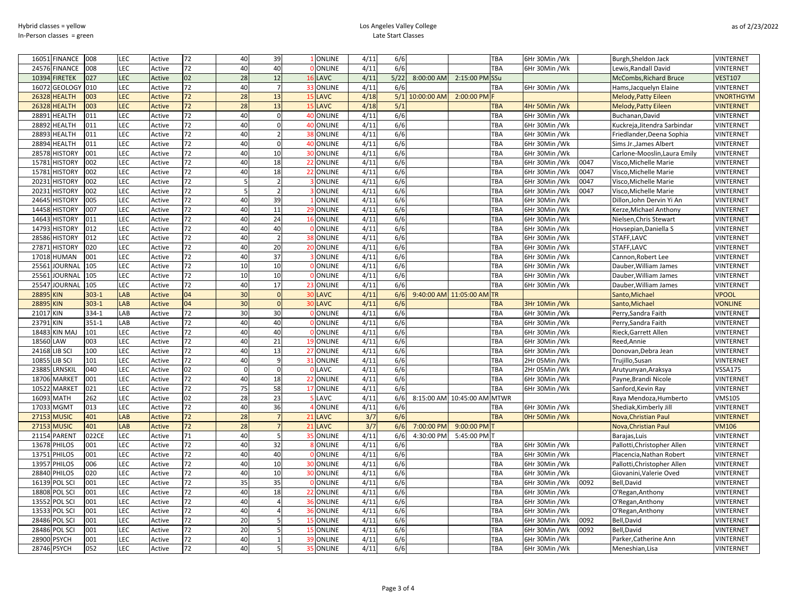| <b>FINANCE</b><br>16051 | 008     | LEC | Active        | 72              | 40              | 39             |                | ONLINE        | 4/11 | 6/6  |             |                        | TBA         | 6Hr 30Min /Wk  |      | Burgh, Sheldon Jack           | VINTERNET              |
|-------------------------|---------|-----|---------------|-----------------|-----------------|----------------|----------------|---------------|------|------|-------------|------------------------|-------------|----------------|------|-------------------------------|------------------------|
| 24576<br><b>FINANCE</b> | 008     | LEC | Active        | 72              | 40              | 40             |                | <b>ONLINE</b> | 4/11 | 6/6  |             |                        | TBA         | 6Hr 30Min /Wk  |      | Lewis, Randall David          | VINTERNET              |
| 10394<br><b>IRETEK</b>  | 027     | LEC | Active        | 02              | 28              | 12             |                | LAVC          | 4/11 | 5/22 | 8:00:00 AM  | 2:15:00 PM             | SSu         |                |      | <b>McCombs, Richard Bruce</b> | <b>VEST107</b>         |
| 16072<br><b>GEOLOGY</b> | 010     | LEC | Active        | 72              | 40              | $\overline{7}$ | 33             | <b>ONLINE</b> | 4/11 | 6/6  |             |                        | TBA         | 6Hr 30Min /Wk  |      | Hams, Jacquelyn Elaine        | <b>VINTERNET</b>       |
| 2632<br><b>HEALTH</b>   | 003     | LEC | <b>Active</b> | 72              | 28              | 13             |                | <b>LAVC</b>   | 4/18 | 5/1  | 10:00:00 AM | 2:00:00 PM             |             |                |      | <b>Melody, Patty Eileen</b>   | <b>VNORTHGYM</b>       |
| <b>HEALTH</b><br>2632   | 003     | LEC | Active        | 72              | 28              | 13             |                | <b>LAVC</b>   | 4/18 | 5/1  |             |                        | TBA         | 4Hr 50Min / Wk |      | <b>Melody, Patty Eileen</b>   | <b>JINTERNET</b>       |
| 28891<br><b>HEALTH</b>  | 011     | LEC | Active        | 72              | 40              | $\mathbf 0$    | 40             | <b>ONLINE</b> | 4/11 | 6/6  |             |                        | TBA         | 6Hr 30Min /Wk  |      | Buchanan, David               | VINTERNET              |
| 2889<br><b>HEALTH</b>   | 011     | LEC | Active        | 72              | 40              | $\mathbf 0$    | 40             | <b>ONLINE</b> | 4/11 | 6/6  |             |                        | TBA         | 6Hr 30Min /Wk  |      | Kuckreja, Jitendra Sarbindar  | VINTERNET              |
| 2889<br>HEALTH          | 011     | LEC | Active        | 72              | 40              | $\overline{2}$ |                | <b>ONLINE</b> | 4/11 | 6/6  |             |                        | TBA         | 6Hr 30Min /Wk  |      | Friedlander, Deena Sophia     | <b><i>INTERNET</i></b> |
| 28894<br><b>HEALTH</b>  | 011     | LEC | Active        | 72              | 40              | $\mathbf 0$    |                | 40 ONLINE     | 4/11 | 6/6  |             |                        | TBA         | 6Hr 30Min /Wk  |      | Sims Jr., James Albert        | VINTERNET              |
| 28578<br><b>HISTORY</b> | 001     | LEC | Active        | 72              | 40              | 10             | 30             | <b>ONLINE</b> | 4/11 | 6/6  |             |                        | TBA         | 6Hr 30Min /Wk  |      | Carlone-Mooslin, Laura Emily  | VINTERNET              |
| 15783<br><b>HISTORY</b> | 002     | LEC | Active        | 72              | 40              | 18             | 22             | <b>ONLINE</b> | 4/11 | 6/6  |             |                        | TBA         | 6Hr 30Min /Wk  | 0047 | Visco, Michelle Marie         | VINTERNET              |
| <b>HISTORY</b><br>15781 | 002     | LEC | Active        | 72              | 40              | 18             |                | ONLINE        | 4/11 | 6/6  |             |                        | TBA         | 6Hr 30Min /Wk  | 0047 | Visco, Michelle Marie         | VINTERNET              |
| 20231<br><b>HISTORY</b> | 002     | LEC | Active        | 72              | 5               | $\overline{2}$ |                | ONLINE        | 4/11 | 6/6  |             |                        | TBA         | 6Hr 30Min /Wk  | 0047 | Visco, Michelle Marie         | VINTERNET              |
| 20231<br><b>HISTORY</b> | 002     | LEC | Active        | 72              |                 | $\overline{2}$ |                | ONLINE        | 4/11 | 6/6  |             |                        | TBA         | 6Hr 30Min /Wk  | 0047 | Visco, Michelle Marie         | <b>JINTERNET</b>       |
| 24645 HISTORY           | 005     | LEC | Active        | 72              | 40              | 39             |                | <b>ONLINE</b> | 4/11 | 6/6  |             |                        | TBA         | 6Hr 30Min /Wk  |      | Dillon, John Dervin Yi An     | VINTERNET              |
| 1445<br><b>HISTORY</b>  | 007     | LEC | Active        | 72              | 40              | 11             |                | <b>ONLINE</b> | 4/11 | 6/6  |             |                        | TBA         | 6Hr 30Min /Wk  |      | Kerze, Michael Anthony        | VINTERNET              |
| <b>HISTORY</b><br>14643 | 011     | LEC | Active        | 72              | 40              | 24             |                | <b>ONLINE</b> | 4/11 | 6/6  |             |                        | TBA         | 6Hr 30Min /Wk  |      | Nielsen, Chris Stewart        | VINTERNET              |
| 14793<br><b>HISTORY</b> | 012     | LEC | Active        | 72              | 40              | 40             |                | <b>ONLINE</b> | 4/11 | 6/6  |             |                        | TBA         | 6Hr 30Min /Wk  |      | Hovsepian, Daniella S         | VINTERNET              |
| 28586<br><b>HISTORY</b> | 012     | LEC | Active        | 72              | 40              | $\overline{2}$ |                | <b>ONLINE</b> | 4/11 | 6/6  |             |                        | TBA         | 6Hr 30Min /Wk  |      | STAFF, LAVC                   | VINTERNET              |
| 27871<br><b>HISTORY</b> | 020     | LEC | Active        | 72              | 40              | 20             |                | <b>ONLINE</b> | 4/11 | 6/6  |             |                        | TBA         | 6Hr 30Min /Wk  |      | STAFF, LAVC                   | VINTERNET              |
| 17018<br><b>HUMAN</b>   | 001     | LEC | Active        | 72              | 40              | 37             |                | <b>ONLINE</b> | 4/11 | 6/6  |             |                        | TBA         | 6Hr 30Min /Wk  |      | Cannon, Robert Lee            | VINTERNET              |
| 25561<br>JOURNAL        | 105     | LEC | Active        | $\overline{72}$ | 10              | 10             |                | <b>ONLINE</b> | 4/11 | 6/6  |             |                        | TBA         | 6Hr 30Min /Wk  |      | Dauber, William James         | VINTERNET              |
| 25561<br><b>JOURNAL</b> | 105     | LEC | Active        | 72              | 10              | 10             |                | ONLINE        | 4/11 | 6/6  |             |                        | TBA         | 6Hr 30Min /Wk  |      | Dauber, William James         | VINTERNET              |
| 25547<br>JOURNAL        | 105     | LEC | Active        | 72              | 40              | 17             | 23             | ONLINE        | 4/11 | 6/6  |             |                        | TBA         | 6Hr 30Min /Wk  |      | Dauber, William James         | <b>JINTERNET</b>       |
| 28895 KIN               | $303-1$ | LAB | <b>Active</b> | 04              | 30              | $\mathbf 0$    | -31            | LAVC          | 4/11 | 6/6  |             | 9:40:00 AM 11:05:00 AM | <b>TR</b>   |                |      | Santo, Michael                | <b>VPOOL</b>           |
| <b>KIN</b><br>28895     | $303-1$ | LAB | <b>Active</b> | 04              | 30              | $\overline{0}$ | $\overline{3}$ | LAVC          | 4/11 | 6/6  |             |                        | TBA         | 3Hr 10Min /Wk  |      | Santo, Michael                | <b>VONLINE</b>         |
| 21017 KIN               | 334-1   | LAB | Active        | 72              | 30              | 30             |                | <b>ONLINE</b> | 4/11 | 6/6  |             |                        | TBA         | 6Hr 30Min /Wk  |      | Perry, Sandra Faith           | <b>JINTERNET</b>       |
| KIN<br>23791            | 351-1   | LAB | Active        | 72              | 40              | 40             |                | <b>ONLINE</b> | 4/11 | 6/6  |             |                        | TBA         | 6Hr 30Min /Wk  |      | Perry, Sandra Faith           | <b>JINTERNET</b>       |
| <b>KIN MAJ</b><br>18483 | 101     | LEC | Active        | 72              | 40              | 40             |                | ONLINE        | 4/11 | 6/6  |             |                        | TBA         | 6Hr 30Min /Wk  |      | Rieck, Garrett Allen          | VINTERNET              |
| 18560<br>LAW            | 003     | LEC | Active        | 72              | 40              | 21             |                | ONLINE        | 4/11 | 6/6  |             |                        | TBA         | 6Hr 30Min /Wk  |      | Reed, Annie                   | VINTERNET              |
| LIB SCI<br>24168        | 100     | LEC | Active        | 72              | 40              | 13             | -27            | <b>ONLINE</b> | 4/11 | 6/6  |             |                        | TBA         | 6Hr 30Min /Wk  |      | Donovan, Debra Jean           | VINTERNET              |
| LIB SCI<br>10855        | 101     | LEC | Active        | 72              | 40              | 9              | 31             | <b>ONLINE</b> | 4/11 | 6/6  |             |                        | TBA         | 2Hr 05Min /Wk  |      | Trujillo, Susan               | VINTERNET              |
| 23885<br>LRNSKIL        | 040     | LEC | Active        | 02              | $\Omega$        | $\mathbf 0$    |                | LAVC          | 4/11 | 6/6  |             |                        | TBA         | 2Hr 05Min /Wk  |      | Arutyunyan, Araksya           | <b>VSSA175</b>         |
| 18706<br><b>MARKET</b>  | 001     | LEC | Active        | 72              | 40              | 18             |                | <b>ONLINE</b> | 4/11 | 6/6  |             |                        | TBA         | 6Hr 30Min /Wk  |      | Payne, Brandi Nicole          | <b>JINTERNET</b>       |
| 10522<br><b>MARKET</b>  | 021     | LEC | Active        | 72              | 75              | 58             | 17             | <b>ONLINE</b> | 4/11 | 6/6  |             |                        | TBA         | 6Hr 30Min /Wk  |      | Sanford, Kevin Ray            | VINTERNET              |
| 16093<br><b>MATH</b>    | 262     | LEC | Active        | 02              | 28              | 23             |                | LAVC          | 4/11 | 6/6  |             | 8:15:00 AM 10:45:00 AM | <b>MTWR</b> |                |      | Raya Mendoza, Humberto        | <b>VMS105</b>          |
| 17033<br><b>MGMT</b>    | 013     | LEC | Active        | 72              | 40              | 36             |                | <b>ONLINE</b> | 4/11 | 6/6  |             |                        | TBA         | 6Hr 30Min /Wk  |      | Shediak, Kimberly Jill        | VINTERNET              |
| 27153<br><b>MUSIC</b>   | 401     | LAB | <b>Active</b> | 72              | 28              | $\overline{7}$ |                | <b>LAVC</b>   | 3/7  | 6/6  |             |                        | TBA         | OHr 50Min / Wk |      | Nova, Christian Paul          | <b>VINTERNET</b>       |
| 27153<br><b>MUSIC</b>   | 401     | LAB | Active        | 72              | 28              |                |                | LAVC          | 3/7  | 6/6  | 7:00:00 PM  | 9:00:00 PM             |             |                |      | Nova, Christian Paul          | /M106                  |
| 21154<br><b>PARENT</b>  | 022CE   | LEC | Active        | 71              | 40              | 5              |                | <b>ONLINE</b> | 4/11 | 6/6  | 4:30:00 PM  | 5:45:00 PM             |             |                |      | Barajas, Luis                 | <b>JINTERNET</b>       |
| 13678<br>PHILOS         | 001     | LEC | Active        | 72              | 40              | 32             |                | <b>ONLINE</b> | 4/11 | 6/6  |             |                        | TBA         | 6Hr 30Min /Wk  |      | Pallotti, Christopher Allen   | VINTERNET              |
| 13751<br>PHILOS         | 001     | LEC | Active        | 72              | 40              | 40             |                | <b>ONLINE</b> | 4/11 | 6/6  |             |                        | TBA         | 6Hr 30Min /Wk  |      | Placencia, Nathan Robert      | VINTERNET              |
| 1395<br><b>PHILOS</b>   | 006     | LEC | Active        | 72              | 40              | 10             | 30             | ONLINE        | 4/11 | 6/6  |             |                        | TBA         | 6Hr 30Min /Wk  |      | Pallotti, Christopher Allen   | VINTERNET              |
| <b>28840 PHILOS</b>     | 020     | LEC | Active        | 72              | 40              | 10             | 30             | <b>ONLINE</b> | 4/11 | 6/6  |             |                        | TBA         | 6Hr 30Min /Wk  |      | Giovanini, Valerie Oved       | VINTERNET              |
| 16139<br>POL SCI        | 001     | LEC | Active        | 72              | $\overline{35}$ | 35             |                | <b>ONLINE</b> | 4/11 | 6/6  |             |                        | TBA         | 6Hr 30Min /Wk  | 0092 | Bell, David                   | VINTERNET              |
| 18808<br>POL SCI        | 001     | LEC | Active        | 72              | 40              | 18             |                | <b>ONLINE</b> | 4/11 | 6/6  |             |                        | TBA         | 6Hr 30Min /Wk  |      | O'Regan, Anthony              | <b><i>INTERNET</i></b> |
| 13552<br>POL SCI        | 001     | LEC | Active        | 72              | 40              | $\overline{4}$ | 36             | <b>ONLINE</b> | 4/11 | 6/6  |             |                        | TBA         | 6Hr 30Min /Wk  |      | O'Regan, Anthony              | VINTERNET              |
| 13533<br>POL SCI        | 001     | LEC | Active        | 72              | 40              | $\overline{4}$ | 36             | <b>ONLINE</b> | 4/11 | 6/6  |             |                        | TBA         | 6Hr 30Min /Wk  |      | O'Regan, Anthony              | <b>VINTERNET</b>       |
| 28486 POL SCI           | 001     | LEC | Active        | 72              | 20              | .5             |                | <b>ONLINE</b> | 4/11 | 6/6  |             |                        | TBA         | 6Hr 30Min /Wk  | 0092 | Bell, David                   | VINTERNET              |
| 28486 POL SCI           | 001     | LEC | Active        | 72              | 20              | 5              |                | <b>ONLINE</b> | 4/11 | 6/6  |             |                        | TBA         | 6Hr 30Min /Wk  | 0092 | Bell, David                   | VINTERNET              |
| 28900 PSYCH             | 001     | LEC | Active        | 72              | 40              | $\mathbf{1}$   |                | <b>ONLINE</b> | 4/11 | 6/6  |             |                        | TBA         | 6Hr 30Min /Wk  |      | Parker, Catherine Ann         | VINTERNET              |
| 28746 PSYCH             | 052     | LEC | Active        | 72              | 40              | 5 <sup>1</sup> |                | <b>ONLINE</b> | 4/11 | 6/6  |             |                        | TBA         | 6Hr 30Min /Wk  |      | Meneshian, Lisa               | <b>VINTERNET</b>       |